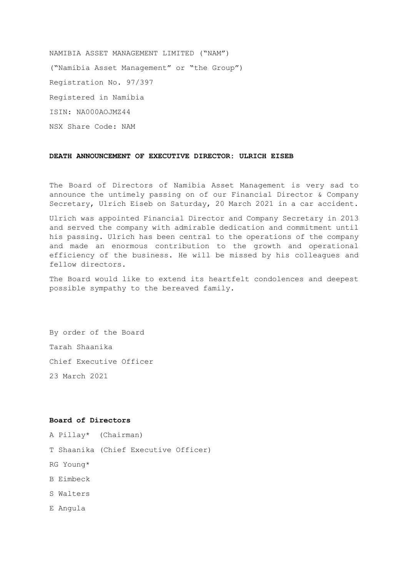NAMIBIA ASSET MANAGEMENT LIMITED ("NAM") ("Namibia Asset Management" or "the Group") Registration No. 97/397 Registered in Namibia ISIN: NA000AOJMZ44 NSX Share Code: NAM

#### **DEATH ANNOUNCEMENT OF EXECUTIVE DIRECTOR: ULRICH EISEB**

The Board of Directors of Namibia Asset Management is very sad to announce the untimely passing on of our Financial Director & Company Secretary, Ulrich Eiseb on Saturday, 20 March 2021 in a car accident.

Ulrich was appointed Financial Director and Company Secretary in 2013 and served the company with admirable dedication and commitment until his passing. Ulrich has been central to the operations of the company and made an enormous contribution to the growth and operational efficiency of the business. He will be missed by his colleagues and fellow directors.

The Board would like to extend its heartfelt condolences and deepest possible sympathy to the bereaved family.

By order of the Board Tarah Shaanika Chief Executive Officer 23 March 2021

#### **Board of Directors**

A Pillay\* (Chairman)

T Shaanika (Chief Executive Officer)

- RG Young\*
- B Eimbeck
- S Walters
- E Angula